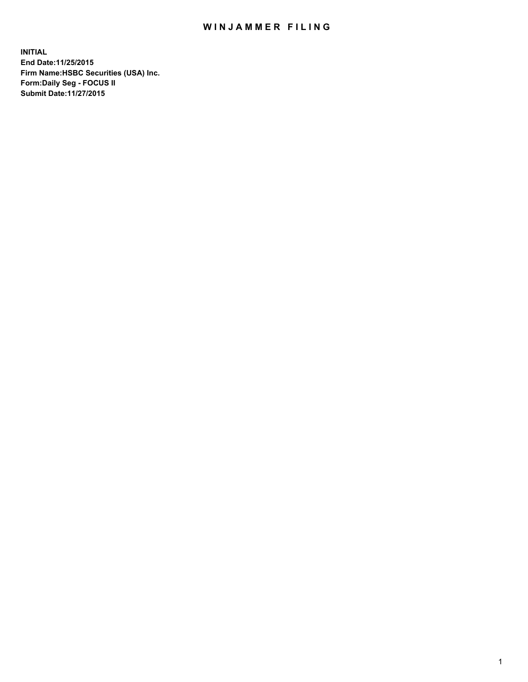## WIN JAMMER FILING

**INITIAL End Date:11/25/2015 Firm Name:HSBC Securities (USA) Inc. Form:Daily Seg - FOCUS II Submit Date:11/27/2015**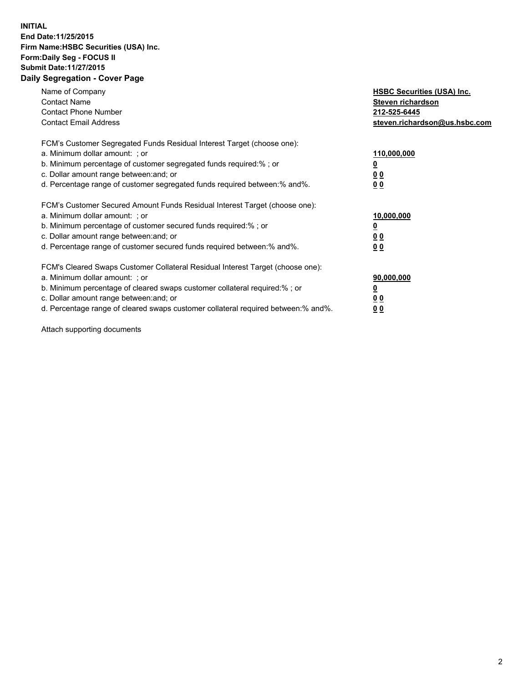## **INITIAL End Date:11/25/2015 Firm Name:HSBC Securities (USA) Inc. Form:Daily Seg - FOCUS II Submit Date:11/27/2015 Daily Segregation - Cover Page**

| Name of Company<br><b>Contact Name</b><br><b>Contact Phone Number</b><br><b>Contact Email Address</b>                                                                                                                                                                                                                         | <b>HSBC Securities (USA) Inc.</b><br>Steven richardson<br>212-525-6445<br>steven.richardson@us.hsbc.com |
|-------------------------------------------------------------------------------------------------------------------------------------------------------------------------------------------------------------------------------------------------------------------------------------------------------------------------------|---------------------------------------------------------------------------------------------------------|
| FCM's Customer Segregated Funds Residual Interest Target (choose one):<br>a. Minimum dollar amount: ; or<br>b. Minimum percentage of customer segregated funds required:% ; or<br>c. Dollar amount range between: and; or<br>d. Percentage range of customer segregated funds required between:% and%.                        | 110,000,000<br><u>0</u><br>0 <sub>0</sub><br>0 <sub>0</sub>                                             |
| FCM's Customer Secured Amount Funds Residual Interest Target (choose one):<br>a. Minimum dollar amount: ; or<br>b. Minimum percentage of customer secured funds required:%; or<br>c. Dollar amount range between: and; or<br>d. Percentage range of customer secured funds required between:% and%.                           | 10,000,000<br>0 <sub>0</sub><br>0 <sub>0</sub>                                                          |
| FCM's Cleared Swaps Customer Collateral Residual Interest Target (choose one):<br>a. Minimum dollar amount: ; or<br>b. Minimum percentage of cleared swaps customer collateral required:%; or<br>c. Dollar amount range between: and; or<br>d. Percentage range of cleared swaps customer collateral required between:% and%. | 90,000,000<br>0 <sub>0</sub><br>00                                                                      |

Attach supporting documents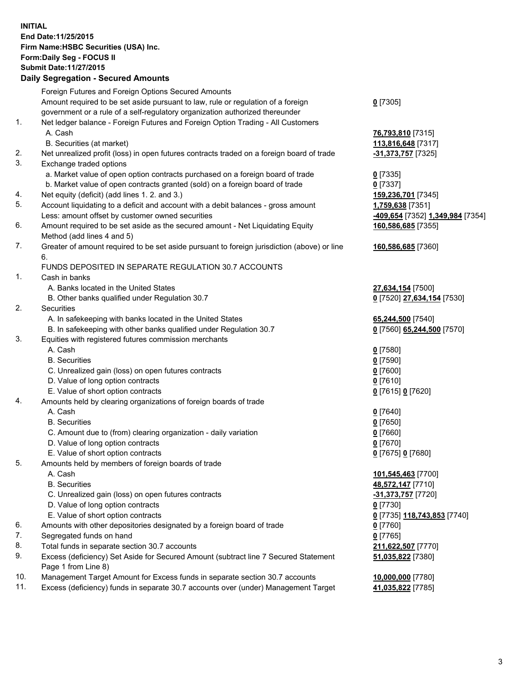**INITIAL End Date:11/25/2015 Firm Name:HSBC Securities (USA) Inc. Form:Daily Seg - FOCUS II Submit Date:11/27/2015**

## **Daily Segregation - Secured Amounts**

|     | Foreign Futures and Foreign Options Secured Amounts                                         |                                  |
|-----|---------------------------------------------------------------------------------------------|----------------------------------|
|     | Amount required to be set aside pursuant to law, rule or regulation of a foreign            | $0$ [7305]                       |
|     | government or a rule of a self-regulatory organization authorized thereunder                |                                  |
| 1.  | Net ledger balance - Foreign Futures and Foreign Option Trading - All Customers             |                                  |
|     | A. Cash                                                                                     | 76,793,810 [7315]                |
|     | B. Securities (at market)                                                                   | 113,816,648 [7317]               |
| 2.  | Net unrealized profit (loss) in open futures contracts traded on a foreign board of trade   | -31,373,757 [7325]               |
| 3.  | Exchange traded options                                                                     |                                  |
|     | a. Market value of open option contracts purchased on a foreign board of trade              | $0$ [7335]                       |
|     | b. Market value of open contracts granted (sold) on a foreign board of trade                | $0$ [7337]                       |
| 4.  | Net equity (deficit) (add lines 1.2. and 3.)                                                | 159,236,701 [7345]               |
| 5.  | Account liquidating to a deficit and account with a debit balances - gross amount           | 1,759,638 [7351]                 |
|     | Less: amount offset by customer owned securities                                            | -409,654 [7352] 1,349,984 [7354] |
| 6.  | Amount required to be set aside as the secured amount - Net Liquidating Equity              | 160,586,685 [7355]               |
|     | Method (add lines 4 and 5)                                                                  |                                  |
| 7.  | Greater of amount required to be set aside pursuant to foreign jurisdiction (above) or line | 160,586,685 [7360]               |
|     | 6.                                                                                          |                                  |
|     | FUNDS DEPOSITED IN SEPARATE REGULATION 30.7 ACCOUNTS                                        |                                  |
| 1.  | Cash in banks                                                                               |                                  |
|     | A. Banks located in the United States                                                       | 27,634,154 [7500]                |
|     | B. Other banks qualified under Regulation 30.7                                              | 0 [7520] 27,634,154 [7530]       |
| 2.  | Securities                                                                                  |                                  |
|     | A. In safekeeping with banks located in the United States                                   | 65,244,500 [7540]                |
|     | B. In safekeeping with other banks qualified under Regulation 30.7                          | 0 [7560] 65,244,500 [7570]       |
| 3.  | Equities with registered futures commission merchants                                       |                                  |
|     | A. Cash                                                                                     | $0$ [7580]                       |
|     | <b>B.</b> Securities                                                                        | $0$ [7590]                       |
|     | C. Unrealized gain (loss) on open futures contracts                                         | $0$ [7600]                       |
|     | D. Value of long option contracts                                                           | $0$ [7610]                       |
|     | E. Value of short option contracts                                                          | 0 [7615] 0 [7620]                |
| 4.  | Amounts held by clearing organizations of foreign boards of trade                           |                                  |
|     | A. Cash                                                                                     | $0$ [7640]                       |
|     | <b>B.</b> Securities                                                                        | $0$ [7650]                       |
|     | C. Amount due to (from) clearing organization - daily variation                             | $0$ [7660]                       |
|     | D. Value of long option contracts                                                           | $0$ [7670]                       |
|     | E. Value of short option contracts                                                          | 0 [7675] 0 [7680]                |
| 5.  | Amounts held by members of foreign boards of trade                                          |                                  |
|     | A. Cash                                                                                     | 101,545,463 [7700]               |
|     | <b>B.</b> Securities                                                                        | 48,572,147 [7710]                |
|     | C. Unrealized gain (loss) on open futures contracts                                         | -31,373,757 [7720]               |
|     | D. Value of long option contracts                                                           | $0$ [7730]                       |
|     | E. Value of short option contracts                                                          | 0 [7735] 118,743,853 [7740]      |
| 6.  | Amounts with other depositories designated by a foreign board of trade                      | 0 [7760]                         |
| 7.  | Segregated funds on hand                                                                    | $0$ [7765]                       |
| 8.  | Total funds in separate section 30.7 accounts                                               | 211,622,507 [7770]               |
| 9.  | Excess (deficiency) Set Aside for Secured Amount (subtract line 7 Secured Statement         | 51,035,822 [7380]                |
|     | Page 1 from Line 8)                                                                         |                                  |
| 10. | Management Target Amount for Excess funds in separate section 30.7 accounts                 | 10,000,000 [7780]                |
| 11. | Excess (deficiency) funds in separate 30.7 accounts over (under) Management Target          | 41,035,822 [7785]                |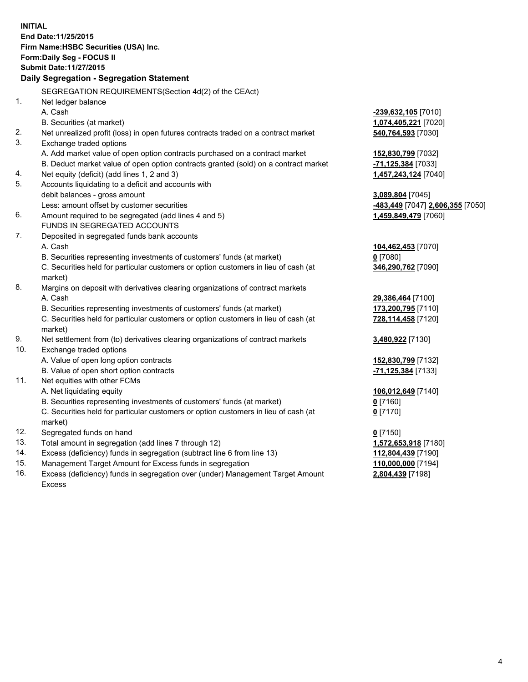**INITIAL End Date:11/25/2015 Firm Name:HSBC Securities (USA) Inc. Form:Daily Seg - FOCUS II Submit Date:11/27/2015 Daily Segregation - Segregation Statement** SEGREGATION REQUIREMENTS(Section 4d(2) of the CEAct) 1. Net ledger balance A. Cash **-239,632,105** [7010] B. Securities (at market) **1,074,405,221** [7020] 2. Net unrealized profit (loss) in open futures contracts traded on a contract market **540,764,593** [7030] 3. Exchange traded options A. Add market value of open option contracts purchased on a contract market **152,830,799** [7032] B. Deduct market value of open option contracts granted (sold) on a contract market **-71,125,384** [7033] 4. Net equity (deficit) (add lines 1, 2 and 3) **1,457,243,124** [7040] 5. Accounts liquidating to a deficit and accounts with debit balances - gross amount **3,089,804** [7045] Less: amount offset by customer securities **-483,449** [7047] **2,606,355** [7050] 6. Amount required to be segregated (add lines 4 and 5) **1,459,849,479** [7060] FUNDS IN SEGREGATED ACCOUNTS 7. Deposited in segregated funds bank accounts A. Cash **104,462,453** [7070] B. Securities representing investments of customers' funds (at market) **0** [7080] C. Securities held for particular customers or option customers in lieu of cash (at market) **346,290,762** [7090] 8. Margins on deposit with derivatives clearing organizations of contract markets A. Cash **29,386,464** [7100] B. Securities representing investments of customers' funds (at market) **173,200,795** [7110] C. Securities held for particular customers or option customers in lieu of cash (at market) **728,114,458** [7120] 9. Net settlement from (to) derivatives clearing organizations of contract markets **3,480,922** [7130] 10. Exchange traded options A. Value of open long option contracts **152,830,799** [7132] B. Value of open short option contracts **-71,125,384** [7133] 11. Net equities with other FCMs A. Net liquidating equity **106,012,649** [7140] B. Securities representing investments of customers' funds (at market) **0** [7160] C. Securities held for particular customers or option customers in lieu of cash (at market) **0** [7170] 12. Segregated funds on hand **0** [7150] 13. Total amount in segregation (add lines 7 through 12) **1,572,653,918** [7180] 14. Excess (deficiency) funds in segregation (subtract line 6 from line 13) **112,804,439** [7190] 15. Management Target Amount for Excess funds in segregation **110,000,000** [7194]

16. Excess (deficiency) funds in segregation over (under) Management Target Amount Excess

**2,804,439** [7198]